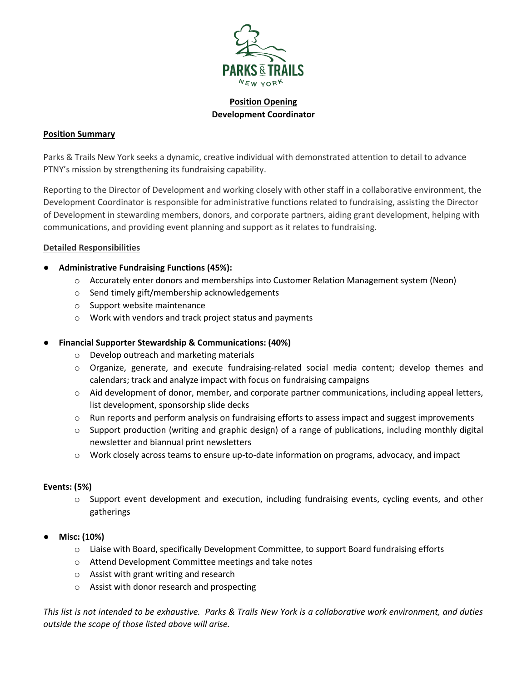

**Position Opening Development Coordinator**

#### **Position Summary**

Parks & Trails New York seeks a dynamic, creative individual with demonstrated attention to detail to advance PTNY's mission by strengthening its fundraising capability.

Reporting to the Director of Development and working closely with other staff in a collaborative environment, the Development Coordinator is responsible for administrative functions related to fundraising, assisting the Director of Development in stewarding members, donors, and corporate partners, aiding grant development, helping with communications, and providing event planning and support as it relates to fundraising.

### **Detailed Responsibilities**

# ● **Administrative Fundraising Functions (45%):**

- o Accurately enter donors and memberships into Customer Relation Management system (Neon)
- o Send timely gift/membership acknowledgements
- o Support website maintenance
- o Work with vendors and track project status and payments

## ● **Financial Supporter Stewardship & Communications: (40%)**

- o Develop outreach and marketing materials
- o Organize, generate, and execute fundraising-related social media content; develop themes and calendars; track and analyze impact with focus on fundraising campaigns
- o Aid development of donor, member, and corporate partner communications, including appeal letters, list development, sponsorship slide decks
- $\circ$  Run reports and perform analysis on fundraising efforts to assess impact and suggest improvements
- o Support production (writing and graphic design) of a range of publications, including monthly digital newsletter and biannual print newsletters
- o Work closely across teams to ensure up-to-date information on programs, advocacy, and impact

#### **Events: (5%)**

- o Support event development and execution, including fundraising events, cycling events, and other gatherings
- **Misc: (10%)**
	- o Liaise with Board, specifically Development Committee, to support Board fundraising efforts
	- o Attend Development Committee meetings and take notes
	- o Assist with grant writing and research
	- o Assist with donor research and prospecting

*This list is not intended to be exhaustive. Parks & Trails New York is a collaborative work environment, and duties outside the scope of those listed above will arise.*